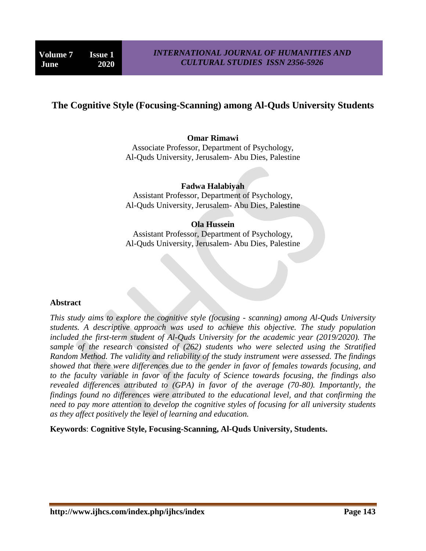# **The Cognitive Style (Focusing-Scanning) among Al-Quds University Students**

### **Omar Rimawi**

Associate Professor, Department of Psychology, Al-Quds University, Jerusalem- Abu Dies, Palestine

#### **Fadwa Halabiyah**

Assistant Professor, Department of Psychology, Al-Quds University, Jerusalem- Abu Dies, Palestine

#### **Ola Hussein**

Assistant Professor, Department of Psychology, Al-Quds University, Jerusalem- Abu Dies, Palestine

#### **Abstract**

*This study aims to explore the cognitive style (focusing - scanning) among Al-Quds University students. A descriptive approach was used to achieve this objective. The study population included the first-term student of Al-Quds University for the academic year (2019/2020). The sample of the research consisted of (262) students who were selected using the Stratified Random Method. The validity and reliability of the study instrument were assessed. The findings showed that there were differences due to the gender in favor of females towards focusing, and to the faculty variable in favor of the faculty of Science towards focusing, the findings also revealed differences attributed to (GPA) in favor of the average (70-80). Importantly, the findings found no differences were attributed to the educational level, and that confirming the need to pay more attention to develop the cognitive styles of focusing for all university students as they affect positively the level of learning and education.*

**Keywords**: **Cognitive Style, Focusing-Scanning, Al-Quds University, Students.**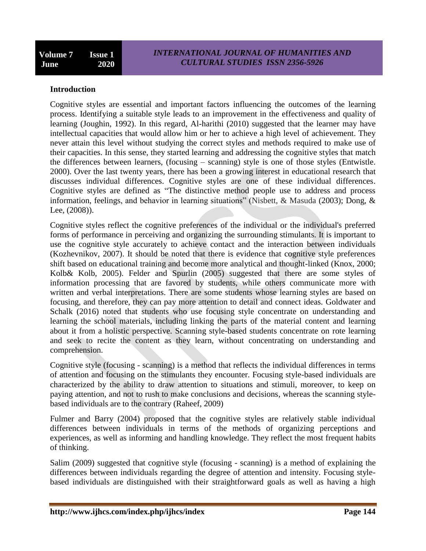### **Introduction**

Cognitive styles are essential and important factors influencing the outcomes of the learning process. Identifying a suitable style leads to an improvement in the effectiveness and quality of learning (Joughin, 1992). In this regard, Al-harithi (2010) suggested that the learner may have intellectual capacities that would allow him or her to achieve a high level of achievement. They never attain this level without studying the correct styles and methods required to make use of their capacities. In this sense, they started learning and addressing the cognitive styles that match the differences between learners, (focusing – scanning) style is one of those styles (Entwistle. 2000). Over the last twenty years, there has been a growing interest in educational research that discusses individual differences. Cognitive styles are one of these individual differences. Cognitive styles are defined as "The distinctive method people use to address and process information, feelings, and behavior in learning situations" (Nisbett, & Masuda (2003); Dong, & Lee, (2008)).

Cognitive styles reflect the cognitive preferences of the individual or the individual's preferred forms of performance in perceiving and organizing the surrounding stimulants. It is important to use the cognitive style accurately to achieve contact and the interaction between individuals (Kozhevnikov, 2007). It should be noted that there is evidence that cognitive style preferences shift based on educational training and become more analytical and thought-linked (Knox, 2000; Kolb& Kolb, 2005). Felder and Spurlin (2005) suggested that there are some styles of information processing that are favored by students, while others communicate more with written and verbal interpretations. There are some students whose learning styles are based on focusing, and therefore, they can pay more attention to detail and connect ideas. Goldwater and Schalk (2016) noted that students who use focusing style concentrate on understanding and learning the school materials, including linking the parts of the material content and learning about it from a holistic perspective. Scanning style-based students concentrate on rote learning and seek to recite the content as they learn, without concentrating on understanding and comprehension.

Cognitive style (focusing - scanning) is a method that reflects the individual differences in terms of attention and focusing on the stimulants they encounter. Focusing style-based individuals are characterized by the ability to draw attention to situations and stimuli, moreover, to keep on paying attention, and not to rush to make conclusions and decisions, whereas the scanning stylebased individuals are to the contrary (Raheef, 2009)

Fulmer and Barry (2004) proposed that the cognitive styles are relatively stable individual differences between individuals in terms of the methods of organizing perceptions and experiences, as well as informing and handling knowledge. They reflect the most frequent habits of thinking.

Salim (2009) suggested that cognitive style (focusing - scanning) is a method of explaining the differences between individuals regarding the degree of attention and intensity. Focusing stylebased individuals are distinguished with their straightforward goals as well as having a high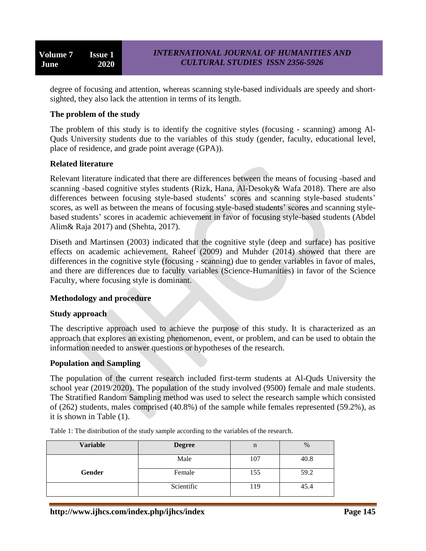degree of focusing and attention, whereas scanning style-based individuals are speedy and shortsighted, they also lack the attention in terms of its length.

## **The problem of the study**

The problem of this study is to identify the cognitive styles (focusing - scanning) among Al-Quds University students due to the variables of this study (gender, faculty, educational level, place of residence, and grade point average (GPA)).

### **Related literature**

Relevant literature indicated that there are differences between the means of focusing -based and scanning -based cognitive styles students (Rizk, Hana, Al-Desoky& Wafa 2018). There are also differences between focusing style-based students' scores and scanning style-based students' scores, as well as between the means of focusing style-based students' scores and scanning stylebased students' scores in academic achievement in favor of focusing style-based students (Abdel Alim& Raja 2017) and (Shehta, 2017).

Diseth and Martinsen (2003) indicated that the cognitive style (deep and surface) has positive effects on academic achievement. Raheef (2009) and Muhder (2014) showed that there are differences in the cognitive style (focusing - scanning) due to gender variables in favor of males, and there are differences due to faculty variables (Science-Humanities) in favor of the Science Faculty, where focusing style is dominant.

### **Methodology and procedure**

### **Study approach**

The descriptive approach used to achieve the purpose of this study. It is characterized as an approach that explores an existing phenomenon, event, or problem, and can be used to obtain the information needed to answer questions or hypotheses of the research.

### **Population and Sampling**

The population of the current research included first-term students at Al-Quds University the school year (2019/2020). The population of the study involved (9500) female and male students. The Stratified Random Sampling method was used to select the research sample which consisted of (262) students, males comprised (40.8%) of the sample while females represented (59.2%), as it is shown in Table (1).

Table 1: The distribution of the study sample according to the variables of the research.

| <b>Variable</b> | <b>Degree</b> | n   | %    |
|-----------------|---------------|-----|------|
|                 | Male          | 107 | 40.8 |
| Gender          | Female        | 155 | 59.2 |
|                 | Scientific    | 119 | 45.4 |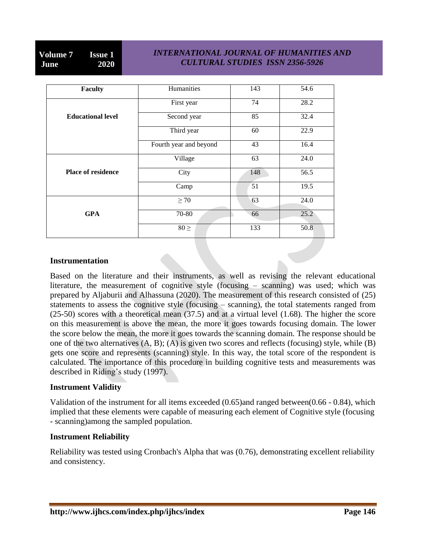### *INTERNATIONAL JOURNAL OF HUMANITIES AND CULTURAL STUDIES ISSN 2356-5926*

| Faculty                   | Humanities             | 143 | 54.6              |
|---------------------------|------------------------|-----|-------------------|
|                           | First year             | 74  | 28.2              |
| <b>Educational level</b>  | Second year            | 85  | 32.4              |
|                           | Third year             | 60  | 22.9              |
|                           | Fourth year and beyond | 43  | 16.4              |
|                           | Village                | 63  | 24.0              |
| <b>Place of residence</b> | City                   | 148 | 56.5              |
|                           | Camp                   | 51  | 19.5              |
|                           | $\geq 70$              | 63  | 24.0              |
| <b>GPA</b>                | 70-80                  | 66  | 25.2              |
|                           | $80 \geq$              | 133 | $50.\overline{8}$ |

### **Instrumentation**

Based on the literature and their instruments, as well as revising the relevant educational literature, the measurement of cognitive style (focusing – scanning) was used; which was prepared by Aljaburii and Alhassuna (2020). The measurement of this research consisted of (25) statements to assess the cognitive style (focusing – scanning), the total statements ranged from (25-50) scores with a theoretical mean (37.5) and at a virtual level (1.68). The higher the score on this measurement is above the mean, the more it goes towards focusing domain. The lower the score below the mean, the more it goes towards the scanning domain. The response should be one of the two alternatives (A, B); (A) is given two scores and reflects (focusing) style, while (B) gets one score and represents (scanning) style. In this way, the total score of the respondent is calculated. The importance of this procedure in building cognitive tests and measurements was described in Riding's study (1997).

## **Instrument Validity**

Validation of the instrument for all items exceeded (0.65)and ranged between(0.66 - 0.84), which implied that these elements were capable of measuring each element of Cognitive style (focusing - scanning)among the sampled population.

### **Instrument Reliability**

Reliability was tested using Cronbach's Alpha that was (0.76), demonstrating excellent reliability and consistency.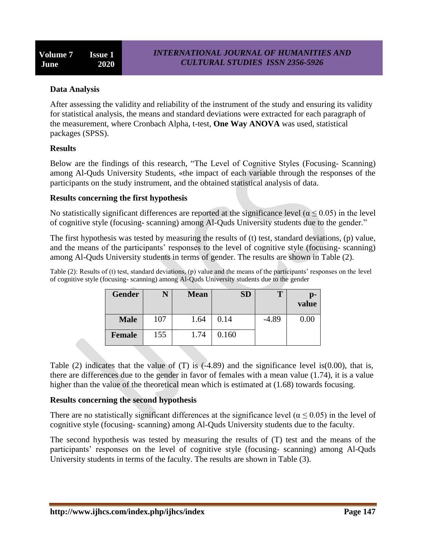# **Data Analysis**

After assessing the validity and reliability of the instrument of the study and ensuring its validity for statistical analysis, the means and standard deviations were extracted for each paragraph of the measurement, where Cronbach Alpha, t-test, **One Way ANOVA** was used, statistical packages (SPSS).

## **Results**

Below are the findings of this research, "The Level of Cognitive Styles (Focusing- Scanning) among Al-Quds University Students, «the impact of each variable through the responses of the participants on the study instrument, and the obtained statistical analysis of data.

### **Results concerning the first hypothesis**

No statistically significant differences are reported at the significance level ( $\alpha \le 0.05$ ) in the level of cognitive style (focusing- scanning) among Al-Quds University students due to the gender."

The first hypothesis was tested by measuring the results of (t) test, standard deviations, (p) value, and the means of the participants' responses to the level of cognitive style (focusing- scanning) among Al-Quds University students in terms of gender. The results are shown in Table (2).

Table (2): Results of (t) test, standard deviations, (p) value and the means of the participants' responses on the level of cognitive style (focusing- scanning) among Al-Quds University students due to the gender

| <b>Gender</b> |     | <b>Mean</b> | ${\bf SD}$ | Т       | p-<br>value |
|---------------|-----|-------------|------------|---------|-------------|
| <b>Male</b>   | 107 | 1.64        | 0.14       | $-4.89$ | 0.00        |
| <b>Female</b> | 155 | 1.74        | 0.160      |         |             |

Table (2) indicates that the value of (T) is  $(-4.89)$  and the significance level is $(0.00)$ , that is, there are differences due to the gender in favor of females with a mean value (1.74), it is a value higher than the value of the theoretical mean which is estimated at (1.68) towards focusing.

## **Results concerning the second hypothesis**

There are no statistically significant differences at the significance level ( $\alpha \le 0.05$ ) in the level of cognitive style (focusing- scanning) among Al-Quds University students due to the faculty.

The second hypothesis was tested by measuring the results of (T) test and the means of the participants' responses on the level of cognitive style (focusing- scanning) among Al-Quds University students in terms of the faculty. The results are shown in Table (3).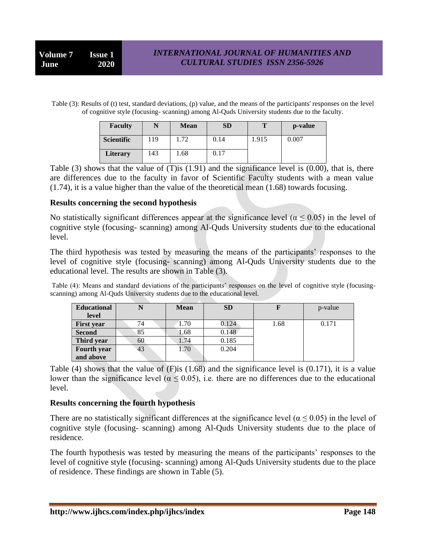Table (3): Results of (t) test, standard deviations, (p) value, and the means of the participants' responses on the level of cognitive style (focusing- scanning) among Al-Quds University students due to the faculty.

| <b>Faculty</b>    |     | <b>Mean</b> | SD   | m     | p-value |
|-------------------|-----|-------------|------|-------|---------|
| <b>Scientific</b> | 19  | 1.72        | 0.14 | 1.915 | 0.007   |
| <b>Literary</b>   | 143 | 1.68        | 0.17 |       |         |

Table  $(3)$  shows that the value of  $(T)$  is  $(1.91)$  and the significance level is  $(0.00)$ , that is, there are differences due to the faculty in favor of Scientific Faculty students with a mean value (1.74), it is a value higher than the value of the theoretical mean (1.68) towards focusing.

### **Results concerning the second hypothesis**

No statistically significant differences appear at the significance level ( $\alpha \le 0.05$ ) in the level of cognitive style (focusing- scanning) among Al-Quds University students due to the educational level.

The third hypothesis was tested by measuring the means of the participants' responses to the level of cognitive style (focusing- scanning) among Al-Quds University students due to the educational level. The results are shown in Table (3).

Table (4): Means and standard deviations of the participants' responses on the level of cognitive style (focusingscanning) among Al-Quds University students due to the educational level.

| <b>Educational</b> |    | <b>Mean</b> | <b>SD</b> |      | p-value |
|--------------------|----|-------------|-----------|------|---------|
| level              |    |             |           |      |         |
| <b>First year</b>  | 74 | 1.70        | 0.124     | 1.68 | 0.171   |
| <b>Second</b>      | 85 | 1.68        | 0.148     |      |         |
| Third year         | 60 | 1.74        | 0.185     |      |         |
| Fourth year        | 43 | 1.70        | 0.204     |      |         |
| and above          |    |             |           |      |         |

Table (4) shows that the value of (F)is (1.68) and the significance level is (0.171), it is a value lower than the significance level ( $\alpha \le 0.05$ ), i.e. there are no differences due to the educational level.

### **Results concerning the fourth hypothesis**

There are no statistically significant differences at the significance level ( $\alpha \le 0.05$ ) in the level of cognitive style (focusing- scanning) among Al-Quds University students due to the place of residence.

The fourth hypothesis was tested by measuring the means of the participants' responses to the level of cognitive style (focusing- scanning) among Al-Quds University students due to the place of residence. These findings are shown in Table (5).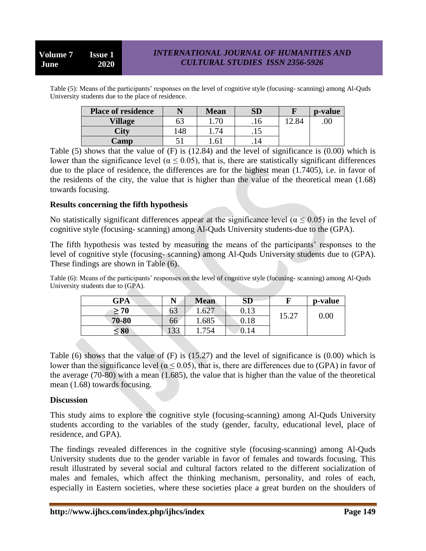## *INTERNATIONAL JOURNAL OF HUMANITIES AND CULTURAL STUDIES ISSN 2356-5926*

Table (5): Means of the participants' responses on the level of cognitive style (focusing- scanning) among Al-Quds University students due to the place of residence.

| <b>Place of residence</b> |    | <b>Mean</b>     | ${\bf SD}$ |    | p-value |
|---------------------------|----|-----------------|------------|----|---------|
| <b>Village</b>            | 63 | $1.70\,$        | .10        | 84 | .00     |
| City                      | 48 | 74              | ن 1 .      |    |         |
| Camp                      |    | .6 <sup>1</sup> | . I H      |    |         |

Table (5) shows that the value of  $(F)$  is (12.84) and the level of significance is (0.00) which is lower than the significance level ( $\alpha \le 0.05$ ), that is, there are statistically significant differences due to the place of residence, the differences are for the highest mean (1.7405), i.e. in favor of the residents of the city, the value that is higher than the value of the theoretical mean (1.68) towards focusing.

### **Results concerning the fifth hypothesis**

No statistically significant differences appear at the significance level ( $\alpha$  < 0.05) in the level of cognitive style (focusing- scanning) among Al-Quds University students-due to the (GPA).

The fifth hypothesis was tested by measuring the means of the participants' responses to the level of cognitive style (focusing- scanning) among Al-Quds University students due to (GPA). These findings are shown in Table (6).

Table (6): Means of the participants' responses on the level of cognitive style (focusing- scanning) among Al-Quds University students due to (GPA).

| <b>GPA</b> | N         | <b>Mean</b> | SD   |       | p-value  |
|------------|-----------|-------------|------|-------|----------|
| $\geq 70$  | ნე        | 1.627       | 0.13 |       | $0.00\,$ |
| 70-80      | 66        | 1.685       | 0.18 | 15.27 |          |
| $\leq 80$  | 22<br>199 | 754         | 0.14 |       |          |

Table (6) shows that the value of (F) is (15.27) and the level of significance is (0.00) which is lower than the significance level ( $\alpha$  < 0.05), that is, there are differences due to (GPA) in favor of the average (70-80) with a mean (1.685), the value that is higher than the value of the theoretical mean (1.68) towards focusing.

### **Discussion**

This study aims to explore the cognitive style (focusing-scanning) among Al-Quds University students according to the variables of the study (gender, faculty, educational level, place of residence, and GPA).

The findings revealed differences in the cognitive style (focusing-scanning) among Al-Quds University students due to the gender variable in favor of females and towards focusing. This result illustrated by several social and cultural factors related to the different socialization of males and females, which affect the thinking mechanism, personality, and roles of each, especially in Eastern societies, where these societies place a great burden on the shoulders of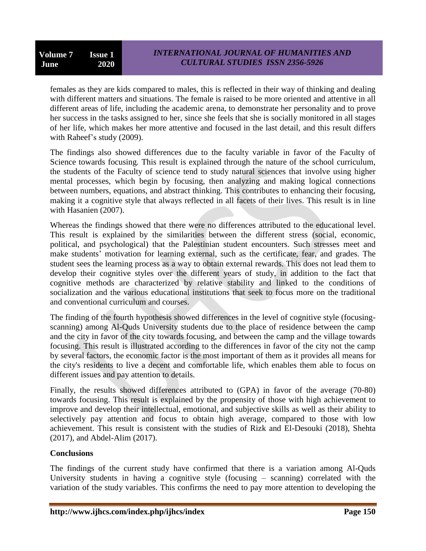females as they are kids compared to males, this is reflected in their way of thinking and dealing with different matters and situations. The female is raised to be more oriented and attentive in all different areas of life, including the academic arena, to demonstrate her personality and to prove her success in the tasks assigned to her, since she feels that she is socially monitored in all stages of her life, which makes her more attentive and focused in the last detail, and this result differs with Raheef's study (2009).

The findings also showed differences due to the faculty variable in favor of the Faculty of Science towards focusing. This result is explained through the nature of the school curriculum, the students of the Faculty of science tend to study natural sciences that involve using higher mental processes, which begin by focusing, then analyzing and making logical connections between numbers, equations, and abstract thinking. This contributes to enhancing their focusing, making it a cognitive style that always reflected in all facets of their lives. This result is in line with Hasanien (2007).

Whereas the findings showed that there were no differences attributed to the educational level. This result is explained by the similarities between the different stress (social, economic, political, and psychological) that the Palestinian student encounters. Such stresses meet and make students' motivation for learning external, such as the certificate, fear, and grades. The student sees the learning process as a way to obtain external rewards. This does not lead them to develop their cognitive styles over the different years of study, in addition to the fact that cognitive methods are characterized by relative stability and linked to the conditions of socialization and the various educational institutions that seek to focus more on the traditional and conventional curriculum and courses.

The finding of the fourth hypothesis showed differences in the level of cognitive style (focusingscanning) among Al-Quds University students due to the place of residence between the camp and the city in favor of the city towards focusing, and between the camp and the village towards focusing. This result is illustrated according to the differences in favor of the city not the camp by several factors, the economic factor is the most important of them as it provides all means for the city's residents to live a decent and comfortable life, which enables them able to focus on different issues and pay attention to details.

Finally, the results showed differences attributed to (GPA) in favor of the average (70-80) towards focusing. This result is explained by the propensity of those with high achievement to improve and develop their intellectual, emotional, and subjective skills as well as their ability to selectively pay attention and focus to obtain high average, compared to those with low achievement. This result is consistent with the studies of Rizk and El-Desouki (2018), Shehta (2017), and Abdel-Alim (2017).

# **Conclusions**

The findings of the current study have confirmed that there is a variation among Al-Quds University students in having a cognitive style (focusing – scanning) correlated with the variation of the study variables. This confirms the need to pay more attention to developing the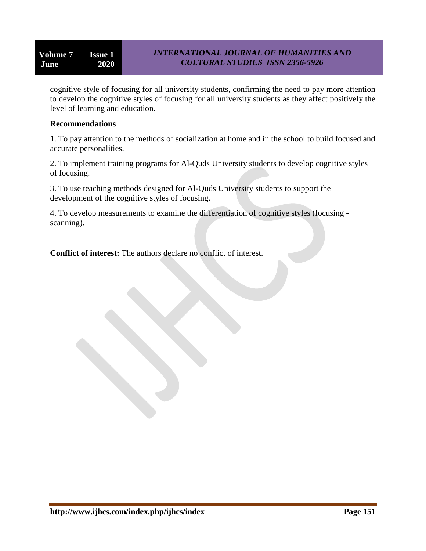cognitive style of focusing for all university students, confirming the need to pay more attention to develop the cognitive styles of focusing for all university students as they affect positively the level of learning and education.

### **Recommendations**

1. To pay attention to the methods of socialization at home and in the school to build focused and accurate personalities.

2. To implement training programs for Al-Quds University students to develop cognitive styles of focusing.

3. To use teaching methods designed for Al-Quds University students to support the development of the cognitive styles of focusing.

4. To develop measurements to examine the differentiation of cognitive styles (focusing scanning).

**Conflict of interest:** The authors declare no conflict of interest.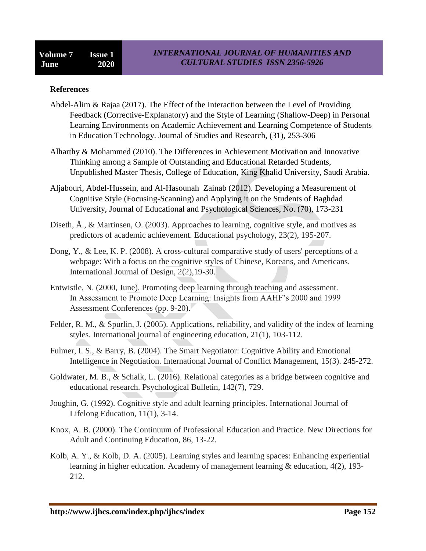### **References**

- Abdel-Alim & Rajaa (2017). The Effect of the Interaction between the Level of Providing Feedback (Corrective-Explanatory) and the Style of Learning (Shallow-Deep) in Personal Learning Environments on Academic Achievement and Learning Competence of Students in Education Technology. Journal of Studies and Research, (31), 253-306
- Alharthy & Mohammed (2010). The Differences in Achievement Motivation and Innovative Thinking among a Sample of Outstanding and Educational Retarded Students, Unpublished Master Thesis, College of Education, King Khalid University, Saudi Arabia.
- Aljabouri, Abdel-Hussein, and Al-Hasounah Zainab (2012). Developing a Measurement of Cognitive Style (Focusing-Scanning) and Applying it on the Students of Baghdad University, Journal of Educational and Psychological Sciences, No. (70), 173-231
- Diseth, Å., & Martinsen, O. (2003). Approaches to learning, cognitive style, and motives as predictors of academic achievement. Educational psychology, 23(2), 195-207.
- Dong, Y., & Lee, K. P. (2008). A cross-cultural comparative study of users' perceptions of a webpage: With a focus on the cognitive styles of Chinese, Koreans, and Americans. International Journal of Design, 2(2),19-30.
- Entwistle, N. (2000, June). Promoting deep learning through teaching and assessment. In Assessment to Promote Deep Learning: Insights from AAHF's 2000 and 1999 Assessment Conferences (pp. 9-20).
- Felder, R. M., & Spurlin, J. (2005). Applications, reliability, and validity of the index of learning styles. International journal of engineering education, 21(1), 103-112.
- Fulmer, I. S., & Barry, B. (2004). The Smart Negotiator: Cognitive Ability and Emotional Intelligence in Negotiation. International Journal of Conflict Management, 15(3). 245-272.
- Goldwater, M. B., & Schalk, L. (2016). Relational categories as a bridge between cognitive and educational research. Psychological Bulletin, 142(7), 729.
- Joughin, G. (1992). Cognitive style and adult learning principles. International Journal of Lifelong Education, 11(1), 3-14.
- Knox, A. B. (2000). The Continuum of Professional Education and Practice. New Directions for Adult and Continuing Education, 86, 13-22.
- Kolb, A. Y., & Kolb, D. A. (2005). Learning styles and learning spaces: Enhancing experiential learning in higher education. Academy of management learning & education, 4(2), 193- 212.